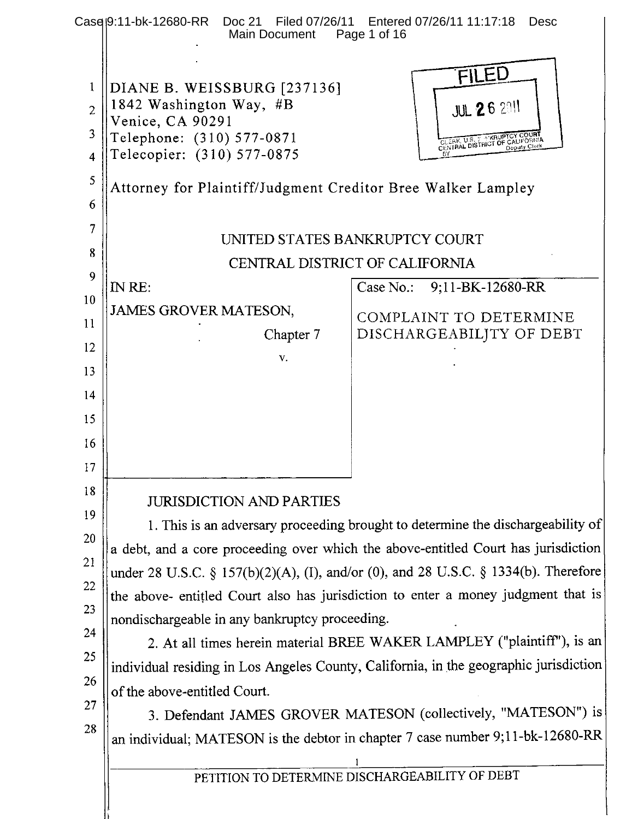|                         | Casel9:11-bk-12680-RR<br>Doc 21 Filed 07/26/11<br>Main Document | Entered 07/26/11 11:17:18<br><b>Desc</b><br>Page 1 of 16                              |
|-------------------------|-----------------------------------------------------------------|---------------------------------------------------------------------------------------|
|                         |                                                                 |                                                                                       |
|                         |                                                                 | FILED                                                                                 |
| $\mathbf{1}$            | DIANE B. WEISSBURG [237136]<br>1842 Washington Way, #B          |                                                                                       |
| $\overline{2}$          | Venice, CA 90291                                                | <b>JUL 26 2011</b>                                                                    |
| 3                       | Telephone: (310) 577-0871                                       | CLERK, U.S. E. KRUPTCY COURT<br>CENTRAL DISTRICT OF CALIFORNIA                        |
| $\overline{\mathbf{4}}$ | Telecopier: (310) 577-0875                                      |                                                                                       |
| 5                       | Attorney for Plaintiff/Judgment Creditor Bree Walker Lampley    |                                                                                       |
| 6                       |                                                                 |                                                                                       |
| 7                       |                                                                 | UNITED STATES BANKRUPTCY COURT                                                        |
| 8                       |                                                                 | CENTRAL DISTRICT OF CALIFORNIA                                                        |
| 9                       | IN RE:                                                          | Case No.:<br>9;11-BK-12680-RR                                                         |
| 10                      | <b>JAMES GROVER MATESON,</b>                                    |                                                                                       |
| 11                      | Chapter 7                                                       | COMPLAINT TO DETERMINE<br>DISCHARGEABILJTY OF DEBT                                    |
| 12                      | V.                                                              |                                                                                       |
| 13                      |                                                                 |                                                                                       |
| 14                      |                                                                 |                                                                                       |
| 15                      |                                                                 |                                                                                       |
| 16                      |                                                                 |                                                                                       |
| 17                      |                                                                 |                                                                                       |
| 18                      |                                                                 |                                                                                       |
| 19                      | <b>JURISDICTION AND PARTIES</b>                                 |                                                                                       |
| 20                      |                                                                 | 1. This is an adversary proceeding brought to determine the dischargeability of       |
| 21                      |                                                                 | a debt, and a core proceeding over which the above-entitled Court has jurisdiction    |
| 22                      |                                                                 | under 28 U.S.C. § 157(b)(2)(A), (I), and/or (0), and 28 U.S.C. § 1334(b). Therefore   |
| 23                      |                                                                 | the above- entitled Court also has jurisdiction to enter a money judgment that is     |
| 24                      | nondischargeable in any bankruptcy proceeding.                  |                                                                                       |
| 25                      |                                                                 | 2. At all times herein material BREE WAKER LAMPLEY ("plaintiff"), is an               |
| 26                      |                                                                 | individual residing in Los Angeles County, California, in the geographic jurisdiction |
| 27                      | of the above-entitled Court.                                    |                                                                                       |
| 28                      |                                                                 | 3. Defendant JAMES GROVER MATESON (collectively, "MATESON") is                        |
|                         |                                                                 | an individual; MATESON is the debtor in chapter 7 case number 9;11-bk-12680-RR        |
|                         |                                                                 |                                                                                       |
|                         |                                                                 | PETITION TO DETERMINE DISCHARGEABILITY OF DEBT                                        |
|                         |                                                                 |                                                                                       |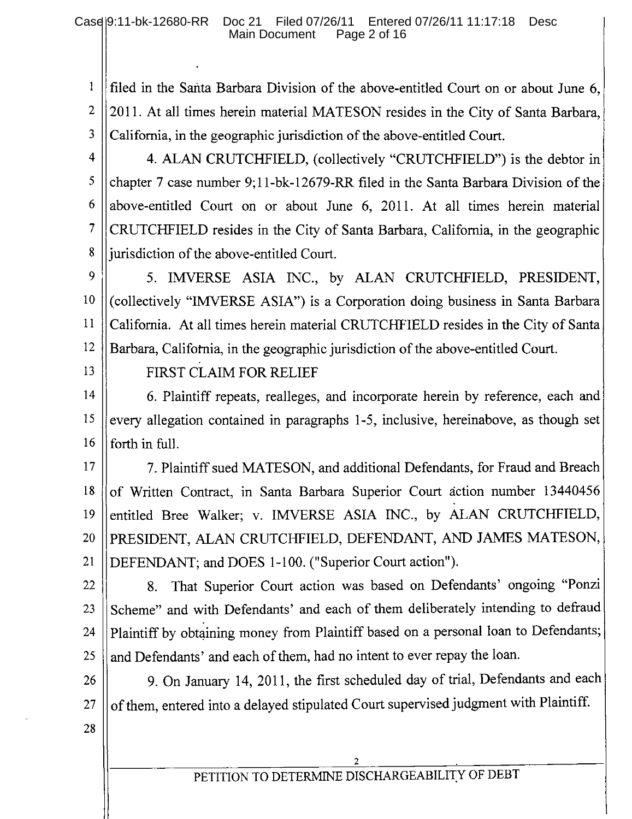filed in the Santa Barbara Division of the above-entitled Court on or about June 6,  $\mathbf{1}$  $\overline{2}$ 2011. At all times herein material MATESON resides in the City of Santa Barbara, 3 California, in the geographic jurisdiction of the above-entitled Court.

4

5

6

 $\overline{7}$ 

8

4. ALAN CRUTCHFIELD, (collectively "CRUTCHFIELD") is the debtor in chapter 7 case number 9;11-bk-12679-RR filed in the Santa Barbara Division of the above-entitled Court on or about June 6, 2011. At all times herein material CRUTCHFIELD resides in the City of Santa Barbara, California, in the geographic jurisdiction of the above-entitled Court.

9 5. IMVERSE ASIA INC., by ALAN CRUTCHFIELD, PRESIDENT, 10 (collectively "IMVERSE ASIA") is a Corporation doing business in Santa Barbara  $11$ California. At all times herein material CRUTCHFIELD resides in the City of Santa 12 Barbara, California, in the geographic jurisdiction of the above-entitled Court.

13

FIRST CLAIM FOR RELIEF

14 6. Plaintiff repeats, realleges, and incorporate herein by reference, each and every allegation contained in paragraphs 1-5, inclusive, hereinabove, as though set 15 16 forth in full.

7. Plaintiff sued MATESON, and additional Defendants, for Fraud and Breach 17 of Written Contract, in Santa Barbara Superior Court action number 13440456 18 entitled Bree Walker; v. IMVERSE ASIA INC., by ALAN CRUTCHFIELD, 19 PRESIDENT, ALAN CRUTCHFIELD, DEFENDANT, AND JAMES MATESON, 20 DEFENDANT; and DOES 1-100. ("Superior Court action"). 21

That Superior Court action was based on Defendants' ongoing "Ponzi 22 8. Scheme" and with Defendants' and each of them deliberately intending to defraud 23 Plaintiff by obtaining money from Plaintiff based on a personal loan to Defendants; 24 and Defendants' and each of them, had no intent to ever repay the loan. 25

9. On January 14, 2011, the first scheduled day of trial, Defendants and each 26 of them, entered into a delayed stipulated Court supervised judgment with Plaintiff. 27

28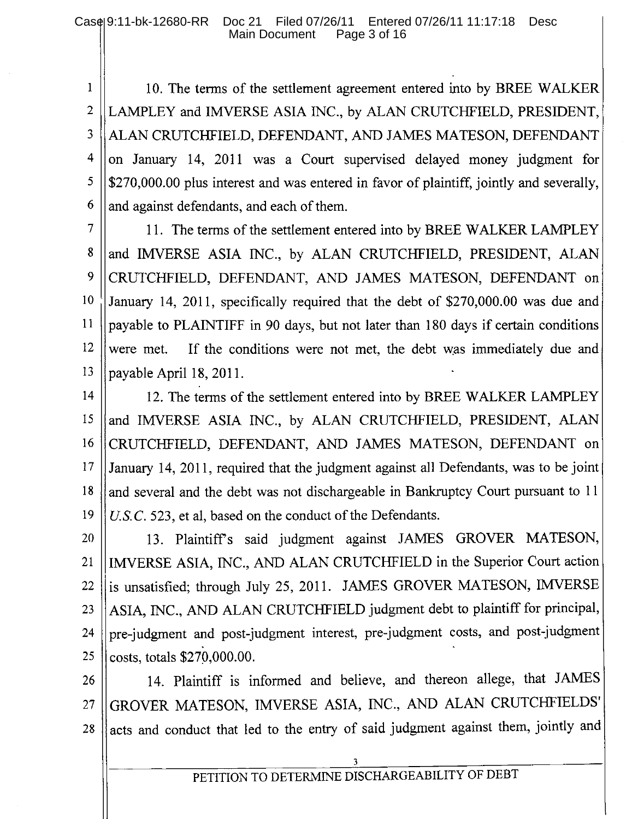$\mathbf{1}$ 10. The terms of the settlement agreement entered into by BREE WALKER  $\overline{2}$ LAMPLEY and IMVERSE ASIA INC., by ALAN CRUTCHFIELD, PRESIDENT,  $\overline{3}$ ALAN CRUTCHFIELD, DEFENDANT, AND JAMES MATESON, DEFENDANT  $\overline{4}$ on January 14, 2011 was a Court supervised delayed money judgment for 5 \$270,000.00 plus interest and was entered in favor of plaintiff, jointly and severally, 6 and against defendants, and each of them.

 $\overline{7}$ 11. The terms of the settlement entered into by BREE WALKER LAMPLEY 8 and IMVERSE ASIA INC., by ALAN CRUTCHFIELD, PRESIDENT, ALAN 9 CRUTCHFIELD, DEFENDANT, AND JAMES MATESON, DEFENDANT on 10 January 14, 2011, specifically required that the debt of \$270,000.00 was due and  $11$ payable to PLAINTIFF in 90 days, but not later than 180 days if certain conditions  $12$ were met. If the conditions were not met, the debt was immediately due and 13 payable April 18, 2011.

14 12. The terms of the settlement entered into by BREE WALKER LAMPLEY 15 and IMVERSE ASIA INC., by ALAN CRUTCHFIELD, PRESIDENT, ALAN 16 CRUTCHFIELD, DEFENDANT, AND JAMES MATESON, DEFENDANT on 17 January 14, 2011, required that the judgment against all Defendants, was to be joint 18 and several and the debt was not dischargeable in Bankruptcy Court pursuant to 11 19 U.S.C. 523, et al, based on the conduct of the Defendants.

13. Plaintiff's said judgment against JAMES GROVER MATESON, 20 IMVERSE ASIA, INC., AND ALAN CRUTCHFIELD in the Superior Court action 21 is unsatisfied; through July 25, 2011. JAMES GROVER MATESON, IMVERSE 22 ASIA, INC., AND ALAN CRUTCHFIELD judgment debt to plaintiff for principal, 23 pre-judgment and post-judgment interest, pre-judgment costs, and post-judgment 24 costs, totals \$270,000.00. 25

14. Plaintiff is informed and believe, and thereon allege, that JAMES 26 GROVER MATESON, IMVERSE ASIA, INC., AND ALAN CRUTCHFIELDS' 27 acts and conduct that led to the entry of said judgment against them, jointly and 28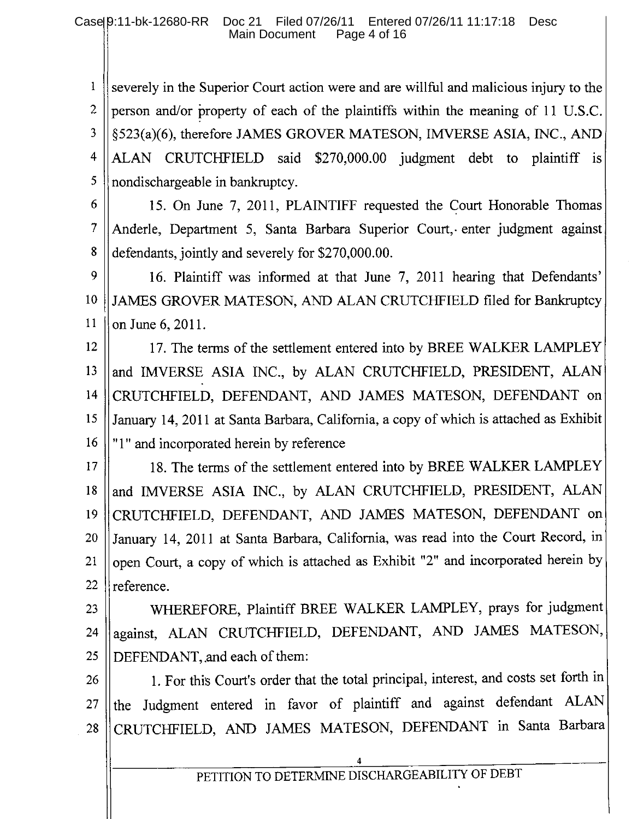$\mathbf{1}$ severely in the Superior Court action were and are will ful and malicious injury to the  $\overline{2}$ person and/or property of each of the plaintiffs within the meaning of 11 U.S.C. 3 §523(a)(6), therefore JAMES GROVER MATESON, IMVERSE ASIA, INC., AND  $\overline{\mathbf{4}}$ ALAN CRUTCHFIELD said \$270,000.00 judgment debt to plaintiff is 5 nondischargeable in bankruptcy.

6

15. On June 7, 2011, PLAINTIFF requested the Court Honorable Thomas  $\overline{7}$ Anderle, Department 5, Santa Barbara Superior Court, enter judgment against 8 defendants, jointly and severely for \$270,000.00.

9 16. Plaintiff was informed at that June 7, 2011 hearing that Defendants' 10 JAMES GROVER MATESON, AND ALAN CRUTCHFIELD filed for Bankruptcy 11 on June 6, 2011.

12 17. The terms of the settlement entered into by BREE WALKER LAMPLEY 13 and IMVERSE ASIA INC., by ALAN CRUTCHFIELD, PRESIDENT, ALAN  $14$ CRUTCHFIELD, DEFENDANT, AND JAMES MATESON, DEFENDANT on January 14, 2011 at Santa Barbara, California, a copy of which is attached as Exhibit 15 16 "1" and incorporated herein by reference

18. The terms of the settlement entered into by BREE WALKER LAMPLEY 17 and IMVERSE ASIA INC., by ALAN CRUTCHFIELD, PRESIDENT, ALAN 18 CRUTCHFIELD, DEFENDANT, AND JAMES MATESON, DEFENDANT on 19 January 14, 2011 at Santa Barbara, California, was read into the Court Record, in 20 open Court, a copy of which is attached as Exhibit "2" and incorporated herein by 21 22 reference.

WHEREFORE, Plaintiff BREE WALKER LAMPLEY, prays for judgment 23 against, ALAN CRUTCHFIELD, DEFENDANT, AND JAMES MATESON, 24 DEFENDANT, and each of them: 25

1. For this Court's order that the total principal, interest, and costs set forth in 26 the Judgment entered in favor of plaintiff and against defendant ALAN 27 CRUTCHFIELD, AND JAMES MATESON, DEFENDANT in Santa Barbara 28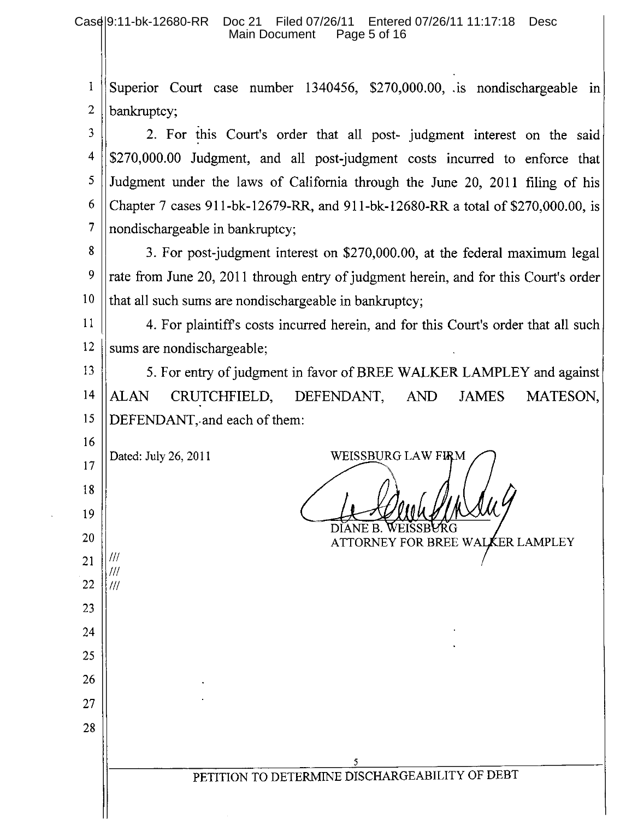|                    |  |  |  | <sup>1</sup> Superior Court case number 1340456, \$270,000.00, is nondischargeable in |  |
|--------------------|--|--|--|---------------------------------------------------------------------------------------|--|
| 2 $\ $ bankruptcy; |  |  |  |                                                                                       |  |

 $\overline{3}$ 2. For this Court's order that all post- judgment interest on the said  $\overline{4}$ \$270,000.00 Judgment, and all post-judgment costs incurred to enforce that 5 Judgment under the laws of California through the June 20, 2011 filing of his 6 Chapter 7 cases 911-bk-12679-RR, and 911-bk-12680-RR a total of \$270,000.00, is nondischargeable in bankruptcy;

8 3. For post-judgment interest on \$270,000.00, at the federal maximum legal 9 rate from June 20, 2011 through entry of judgment herein, and for this Court's order 10 that all such sums are nondischargeable in bankruptcy;

11 4. For plaintiff's costs incurred herein, and for this Court's order that all such 12 sums are nondischargeable;

13 5. For entry of judgment in favor of BREE WALKER LAMPLEY and against CRUTCHFIELD,  $14$ MATESON, **AND ALAN** DEFENDANT, **JAMES** 15 DEFENDANT, and each of them:

16 Dated: July 26, 2011  $17$ 

18

19

20

21

22

23

24

25

26

27

28

 $^{\prime\prime\prime}$ 

111

 $^{\prime\prime\prime}$ 

WEISSBURG LAW FIRM

DIANE B. ATTORNEY FOR BREE WALKER LAMPLEY

PETITION TO DETERMINE DISCHARGEABILITY OF DEBT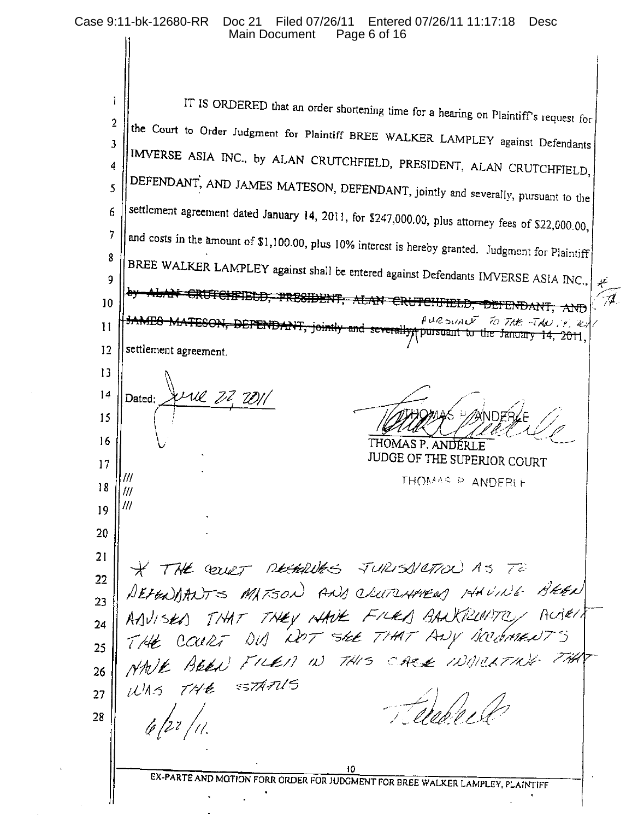IT IS ORDERED that an order shortening time for a hearing on Plaintiff's request for 1  $\overline{2}$ the Court to Order Judgment for Plaintiff BREE WALKER LAMPLEY against Defendants  $\overline{\mathbf{3}}$ IMVERSE ASIA INC., by ALAN CRUTCHFIELD, PRESIDENT, ALAN CRUTCHFIELD,  $\overline{4}$ DEFENDANT, AND JAMES MATESON, DEFENDANT, jointly and severally, pursuant to the  $\overline{\mathbf{S}}$ settlement agreement dated January 14, 2011, for \$247,000.00, plus attorney fees of \$22,000.00, 6  $\overline{7}$ and costs in the amount of \$1,100.00, plus 10% interest is hereby granted. Judgment for Plaintiff 8 BREE WALKER LAMPLEY against shall be entered against Defendants IMVERSE ASIA INC. 9 <del>CRUTCHFIELD, PRESIDENT, ALAN CRUTCHFIELD,</del>  $10$ ਨੀ\ਾੋ PURSUALT TO THE THE IN 14, 20  $11$ <del>DEPENDANT, joint</del> and severally pursuant to the January 14, 2011. settlement agreement.  $12$ 13 une 22 2011  $14$ Dated: 15 16 THOMAS P. ANDERLE JUDGE OF THE SUPERIOR COURT  $17$ 111 THOMAS P ANDERLE 18 /// 111 19 20  $21$ \* THE COURT RESERVES JURISIETION AS TO 22 REFENDANTS MATSON AND CLUTCHPIERS 14HUINE BREN 23 24 25 MAVE BEEN FILED IN THIS CARE INDICATION THAT 26 THE STATUS  $tUAS$ 27 Chape 18 28 10 EX-PARTE AND MOTION FORR ORDER FOR JUDGMENT FOR BREE WALKER LAMPLEY, PLAINTIFF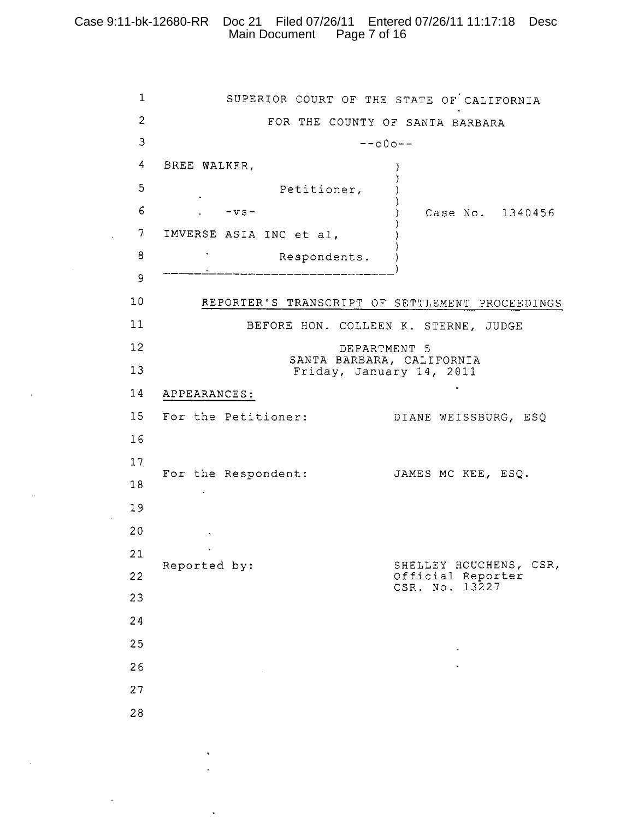## Case 9:11-bk-12680-RR Doc 21 Filed 07/26/11 Entered 07/26/11 11:17:18 Desc Main Document Page 7 of 16

 $\mathbf{r}$ 

 $\mathbf{1}$ SUPERIOR COURT OF THE STATE OF CALIFORNIA  $\overline{2}$ FOR THE COUNTY OF SANTA BARBARA 3  $--000- \overline{4}$ BREE WALKER,  $\lambda$ -1 5 Petitioner, -)  $6\overline{6}$  $-vs-$ Case No. 1340456  $\lambda$  $7<sup>1</sup>$ IMVERSE ASIA INC et al, 8  $\sim$ Respondents.  $\lambda$ \_\_\_\_\_\_\_\_\_\_\_\_\_\_\_\_\_ 9  $10<sub>1</sub>$ REPORTER'S TRANSCRIPT OF SETTLEMENT PROCEEDINGS  $11$ BEFORE HON. COLLEEN K. STERNE, JUDGE  $12<sup>°</sup>$ DEPARTMENT 5 SANTA BARBARA, CALIFORNIA  $13$ Friday, January 14, 2011  $14$ APPEARANCES: 15 For the Petitioner: DIANE WEISSBURG, ESQ  $16$  $17$ For the Respondent: JAMES MC KEE, ESQ. 18  $\mathcal{L}_{\mathcal{A}}$ 19 20  $\sim 10^{11}$  km  $^{-1}$  $\sim 100$  $21$ SHELLEY HOUCHENS, CSR, Reported by: 22 Official Reporter CSR. No. 13227  $23$ 24 25 26 27 28

 $\ddot{\phantom{a}}$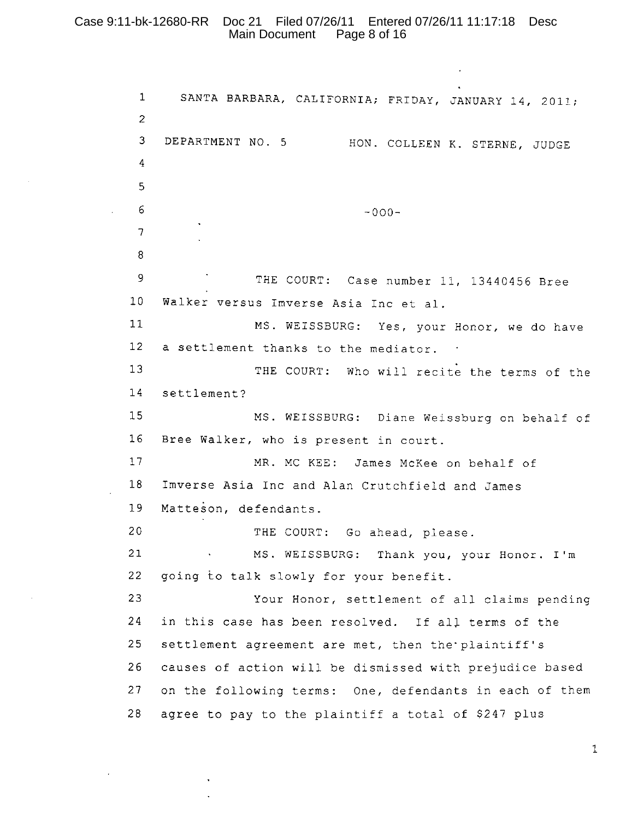#### Case 9:11-bk-12680-RR Doc 21 Filed 07/26/11 Entered 07/26/11 11:17:18 Desc Main Document Page 8 of 16

 $\mathbf{1}$ SANTA BARBARA, CALIFORNIA; FRIDAY, JANUARY 14, 2011;  $\overline{2}$ DEPARTMENT NO. 5 HON. COLLEEN K. STERNE, JUDGE  $3<sup>1</sup>$  $\overline{4}$ 5 6  $-000-$ 7 8 9 THE COURT: Case number 11, 13440456 Bree  $10$ Walker versus Imverse Asia Inc et al.  $11$ MS. WEISSBURG: Yes, your Honor, we do have  $12<sup>2</sup>$ a settlement thanks to the mediator. .  $13$ THE COURT: Who will recite the terms of the  $14$ settlement?  $15$ MS. WEISSBURG: Diane Weissburg on behalf of  $16$ Bree Walker, who is present in court.  $17$ MR. MC KEE: James McKee on behalf of 18 Imverse Asia Inc and Alan Crutchfield and James Matteson, defendants. 19 20 THE COURT: Go ahead, please.  $21$ MS. WEISSBURG: Thank you, your Honor. I'm 22 going to talk slowly for your benefit. 23 Your Honor, settlement of all claims pending 24 in this case has been resolved. If all terms of the  $25$ settlement agreement are met, then the plaintiff's 26 causes of action will be dismissed with prejudice based  $27$ on the following terms: One, defendants in each of them 28 agree to pay to the plaintiff a total of \$247 plus

 $\mathbf{1}$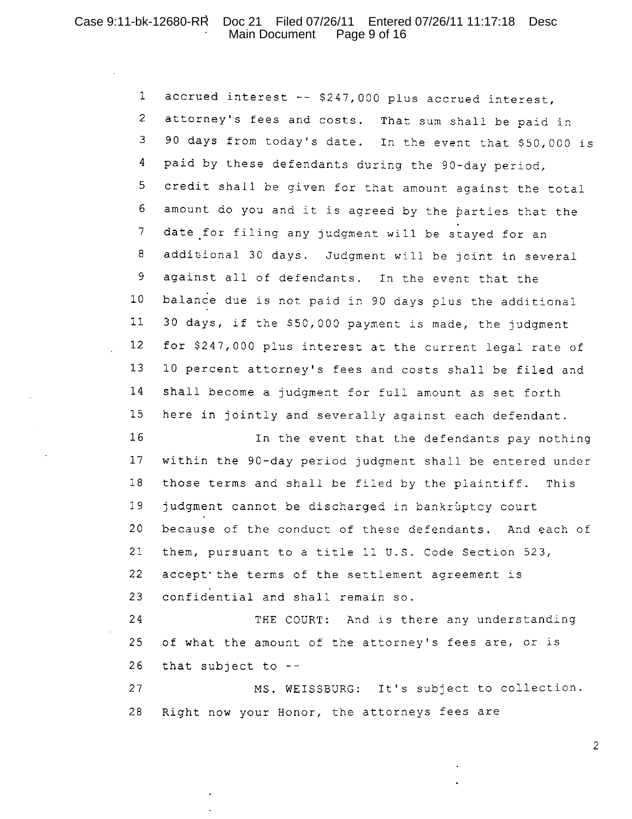#### Case 9:11-bk-12680-RR Doc 21 Filed 07/26/11 Entered 07/26/11 11:17:18 Desc Main Document Page 9 of 16

accrued interest -- \$247,000 plus accrued interest,  $\mathbf{1}$ attorney's fees and costs. That sum shall be paid in  $\overline{2}$ 3 90 days from today's date. In the event that \$50,000 is 4 paid by these defendants during the 90-day period, 5 credit shall be given for that amount against the total  $6 \overline{6}$ amount do you and it is agreed by the parties that the  $\overline{\mathcal{L}}$ date for filing any judgment will be stayed for an additional 30 days. Judgment will be joint in several 8 9 against all of defendants. In the event that the  $10$ balance due is not paid in 90 days plus the additional  $11$ 30 days, if the \$50,000 payment is made, the judgment  $12$ for \$247,000 plus interest at the current legal rate of  $13$ 10 percent attorney's fees and costs shall be filed and  $14$ shall become a judgment for full amount as set forth 15 here in jointly and severally against each defendant.

16 In the event that the defendants pay nothing  $17$ within the 90-day period judgment shall be entered under those terms and shall be filed by the plaintiff. This  $18$ 19 judgment cannot be discharged in bankruptcy court 20 because of the conduct of these defendants. And each of  $21$ them, pursuant to a title 11 U.S. Code Section 523, 22 accept the terms of the settlement agreement is 23 confidential and shall remain so.

24 THE COURT: And is there any understanding 25 of what the amount of the attorney's fees are, or is 26 that subject to  $-$ -

27 MS. WEISSBURG: It's subject to collection. 28 Right now your Honor, the attorneys fees are

 $\overline{2}$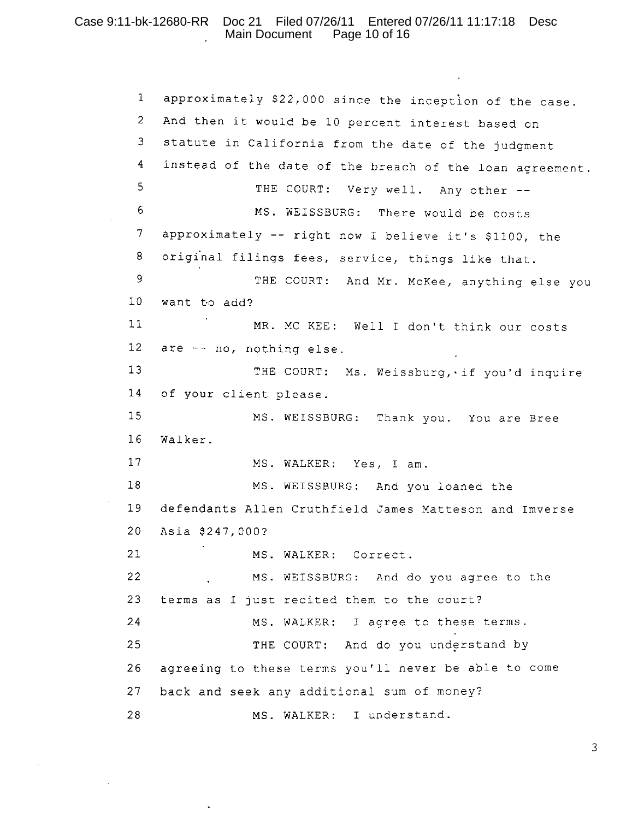#### Case 9:11-bk-12680-RR Doc 21 Filed 07/26/11 Entered 07/26/11 11:17:18 Desc Main Document Page 10 of 16

 $\mathbf{1}$ approximately \$22,000 since the inception of the case.  $\overline{2}$ And then it would be 10 percent interest based on  $\mathbf{3}$ statute in California from the date of the judgment instead of the date of the breach of the loan agreement.  $\overline{4}$ 5 THE COURT: Very well. Any other --6 MS. WEISSBURG: There would be costs  $\boldsymbol{7}$ approximately -- right now I believe it's \$1100, the  $\, 8$ original filings fees, service, things like that.  $\mathsf 9$ THE COURT: And Mr. McKee, anything else you  $10<sub>1</sub>$ want to add?  $11$ MR. MC KEE: Well I don't think our costs  $12<sup>2</sup>$ are -- no, nothing else.  $13$ THE COURT: Ms. Weissburg, if you'd inquire  $14$ of your client please. 15 MS. WEISSBURG: Thank you. You are Bree 16 Walker.  $17$ MS. WALKER: Yes, I am.  $18$ MS. WEISSBURG: And you loaned the 19 defendants Allen Cruthfield James Matteson and Imverse  $20<sub>o</sub>$ Asia \$247,000?  $21$ MS. WALKER: Correct. 22 MS. WEISSBURG: And do you agree to the 23 terms as I just recited them to the court? 24 MS. WALKER: I agree to these terms. THE COURT: And do you understand by 25 26 agreeing to these terms you'll never be able to come 27 back and seek any additional sum of money? 28 MS. WALKER: I understand.

3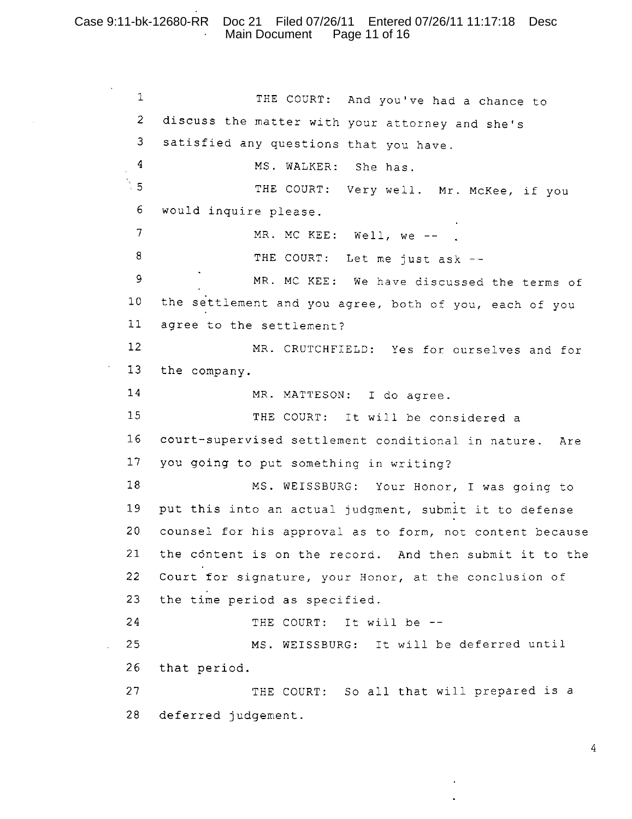## Case 9:11-bk-12680-RR Doc 21 Filed 07/26/11 Entered 07/26/11 11:17:18 Desc Main Document Page 11 of 16

 $\mathbf{1}$ THE COURT: And you've had a chance to  $\overline{2}$ discuss the matter with your attorney and she's 3 satisfied any questions that you have.  $\overline{4}$ MS. WALKER: She has.  $5^{\circ}$ THE COURT: Very well. Mr. McKee, if you  $6 \overline{6}$ would inquire please.  $\overline{7}$ MR. MC KEE: Well, we -- . 8 THE COURT: Let me just ask -- $\circ$ MR. MC KEE: We have discussed the terms of  $10<sub>1</sub>$ the settlement and you agree, both of you, each of you  $11$ agree to the settlement?  $12<sup>2</sup>$ MR. CRUTCHFIELD: Yes for ourselves and for  $13$ the company.  $14$ MR. MATTESON: I do agree. 15 THE COURT: It will be considered a  $16$ court-supervised settlement conditional in nature. Are  $17$ you going to put something in writing? 18 MS. WEISSBURG: Your Honor, I was going to 19 put this into an actual judgment, submit it to defense  $20<sub>o</sub>$ counsel for his approval as to form, not content because  $21$ the content is on the record. And then submit it to the 22 Court for signature, your Honor, at the conclusion of 23 the time period as specified. 24 THE COURT: It will be --25 MS. WEISSBURG: It will be deferred until 26 that period.  $27$ THE COURT: So all that will prepared is a 28 deferred judgement.

 $\overline{4}$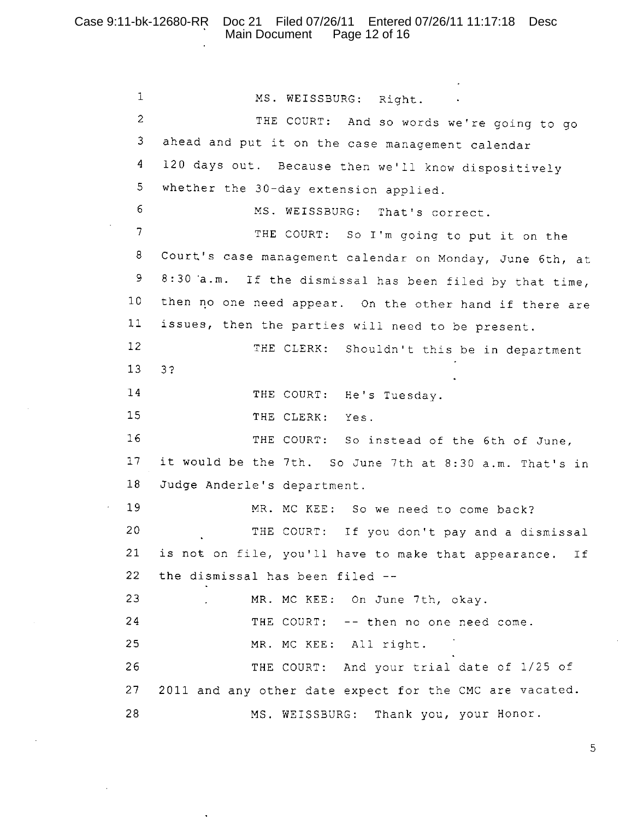#### Case 9:11-bk-12680-RR Doc 21 Filed 07/26/11 Entered 07/26/11 11:17:18 Desc Main Document Page 12 of 16

 $\mathbf 1$ MS. WEISSBURG: Right.  $\overline{2}$ THE COURT: And so words we're going to go ahead and put it on the case management calendar  $\mathbf{3}$ 120 days out. Because then we'll know dispositively 4 5 whether the 30-day extension applied. 6 MS. WEISSBURG: That's correct.  $7<sup>1</sup>$ THE COURT: So I'm going to put it on the 8 Court's case management calendar on Monday, June 6th, at 8:30 a.m. If the dismissal has been filed by that time, 9  $10<sub>1</sub>$ then no one need appear. On the other hand if there are  $11$ issues, then the parties will need to be present.  $12<sup>°</sup>$ THE CLERK: Shouldn't this be in department  $13$  $32$  $14$ THE COURT: He's Tuesday.  $15$ THE CLERK: Yes. 16 THE COURT: So instead of the 6th of June,  $17$ it would be the 7th. So June 7th at 8:30 a.m. That's in 18 Judge Anderle's department. 19 MR. MC KEE: So we need to come back? 20 THE COURT: If you don't pay and a dismissal is not on file, you'll have to make that appearance. 21 Ιf 22 the dismissal has been filed --23 MR. MC KEE: On June 7th, okay. 24 THE COURT: -- then no one need come. 25 MR. MC KEE: All right. 26 THE COURT: And your trial date of 1/25 of 27 2011 and any other date expect for the CMC are vacated. 28 MS. WEISSBURG: Thank you, your Honor.

5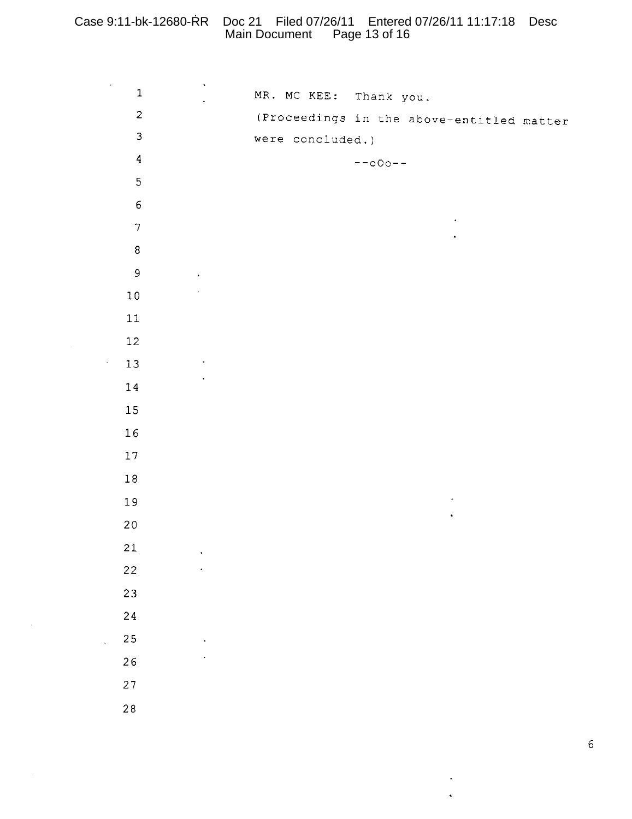# Case 9:11-bk-12680-RR Doc 21 Filed 07/26/11 Entered 07/26/11 11:17:18 Desc Main Document Page 13 of 16

| $\mathcal{A}^{\mathcal{A}}$ | $\mathbf 1$             | $\hat{\boldsymbol{\cdot} }$ |  | MR. MC KEE: Thank you. |           |                                           |  |
|-----------------------------|-------------------------|-----------------------------|--|------------------------|-----------|-------------------------------------------|--|
|                             | $\bar{z}$               |                             |  |                        |           | (Proceedings in the above-entitled matter |  |
|                             | $\mathfrak{Z}$          |                             |  | were concluded.)       |           |                                           |  |
|                             | $\overline{\mathbf{4}}$ |                             |  |                        | $--000--$ |                                           |  |
|                             | $\mathbf 5$             |                             |  |                        |           |                                           |  |
|                             | $\epsilon$              |                             |  |                        |           |                                           |  |
|                             | $\boldsymbol{7}$        |                             |  |                        |           |                                           |  |
|                             | $\bf 8$                 |                             |  |                        |           |                                           |  |
|                             | $\mathsf 9$             |                             |  |                        |           |                                           |  |
|                             | $1\,0$                  |                             |  |                        |           |                                           |  |
|                             | $11\,$                  |                             |  |                        |           |                                           |  |
|                             | $12\,$                  |                             |  |                        |           |                                           |  |
| $\epsilon$                  | $13$                    |                             |  |                        |           |                                           |  |
|                             | $1\,4$                  |                             |  |                        |           |                                           |  |
|                             | $15\,$                  |                             |  |                        |           |                                           |  |
|                             | $1\,6$                  |                             |  |                        |           |                                           |  |
|                             | $17\,$                  |                             |  |                        |           |                                           |  |
|                             | $1\,8$                  |                             |  |                        |           |                                           |  |
|                             | 19                      |                             |  |                        |           |                                           |  |
|                             | $2\,0$                  |                             |  |                        |           |                                           |  |
|                             | 21                      |                             |  |                        |           |                                           |  |
|                             | 22                      |                             |  |                        |           |                                           |  |
|                             | 23                      |                             |  |                        |           |                                           |  |
|                             | $2\sqrt{4}$             |                             |  |                        |           |                                           |  |
|                             | $2\sqrt{5}$             |                             |  |                        |           |                                           |  |
|                             | 26                      |                             |  |                        |           |                                           |  |
|                             | $27\,$                  |                             |  |                        |           |                                           |  |
|                             | $2\,8$                  |                             |  |                        |           |                                           |  |
|                             |                         |                             |  |                        |           |                                           |  |

 $\sim 10^{-1}$ 

 $\sim 100$  $\ddot{\phantom{a}}$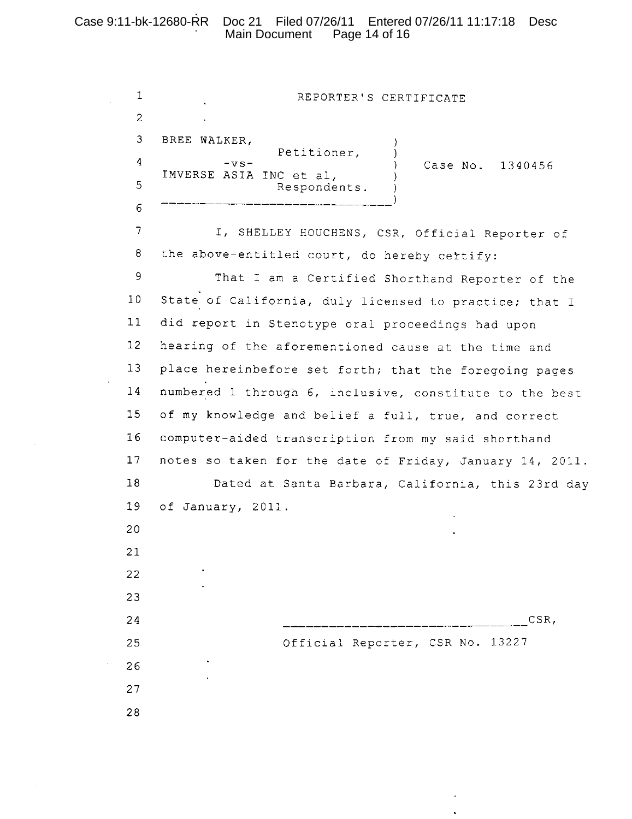# Case 9:11-bk-12680-RR Doc 21 Filed 07/26/11 Entered 07/26/11 11:17:18 Desc Main Document Page 14 of 16

 $\bar{z}$ 

 $\cdot$ 

 $\ddot{\phantom{a}}$ 

| 1               | REPORTER'S CERTIFICATE                                   |
|-----------------|----------------------------------------------------------|
| $\overline{2}$  |                                                          |
| 3               | BREE WALKER,                                             |
| $\overline{4}$  | Petitioner,<br>$-vs-$<br>Case No. 1340456                |
| 5               | IMVERSE ASIA INC et al,<br>Respondents.                  |
| 6               |                                                          |
| 7               | I, SHELLEY HOUCHENS, CSR, Official Reporter of           |
| 8               | the above-entitled court, do hereby certify:             |
| 9               | That I am a Certified Shorthand Reporter of the          |
| 10              | State of California, duly licensed to practice; that I   |
| 11              | did report in Stenotype oral proceedings had upon        |
| 12              | hearing of the aforementioned cause at the time and      |
| 13              | place hereinbefore set forth; that the foregoing pages   |
| 14              | numbered 1 through 6, inclusive, constitute to the best  |
| 15 <sub>1</sub> | of my knowledge and belief a full, true, and correct     |
| 16              | computer-aided transcription from my said shorthand      |
| 17              | notes so taken for the date of Friday, January 14, 2011. |
| 18              | Dated at Santa Barbara, California, this 23rd day        |
| 19              | of January, 2011.                                        |
| 20              |                                                          |
| 21              |                                                          |
| 22              |                                                          |
| 23              |                                                          |
| 24              | CSR,                                                     |
| 25              | Official Reporter, CSR No. 13227                         |
| 26              |                                                          |
| 27              |                                                          |
| 28              |                                                          |

 $\epsilon$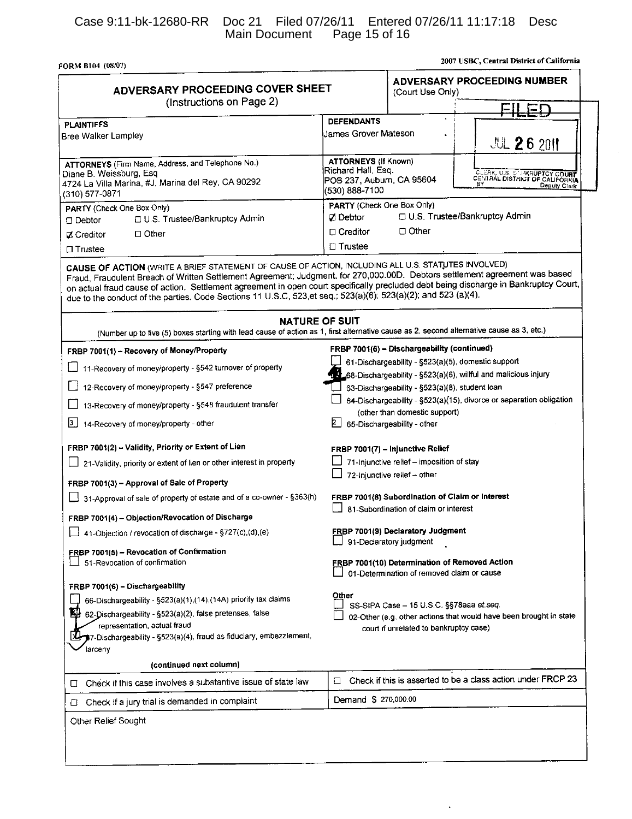FORM B104 (08/07)

| ADVERSARY PROCEEDING COVER SHEET<br>(Instructions on Page 2)                                                                                                                                                        | ADVERSARY PROCEEDING NUMBER<br>(Court Use Only)                                                                                                                                                                                                                                                                                                                                                                                          |
|---------------------------------------------------------------------------------------------------------------------------------------------------------------------------------------------------------------------|------------------------------------------------------------------------------------------------------------------------------------------------------------------------------------------------------------------------------------------------------------------------------------------------------------------------------------------------------------------------------------------------------------------------------------------|
|                                                                                                                                                                                                                     |                                                                                                                                                                                                                                                                                                                                                                                                                                          |
| <b>PLAINTIFFS</b><br>Bree Walker Lampley                                                                                                                                                                            | <b>DEFENDANTS</b><br>James Grover Mateson<br><b>JUL 26 2011</b>                                                                                                                                                                                                                                                                                                                                                                          |
| ATTORNEYS (Firm Name, Address, and Telephone No.)<br>Diane B. Weissburg, Esq<br>4724 La Villa Marina, #J, Marina del Rey, CA 90292<br>(310) 577-0871                                                                | <b>ATTORNEYS (If Known)</b><br>Richard Hall, Esq.<br>CLERK, U.S. C. PKRUPTCY COURT<br>CENTRAL DISTRICT OF CALIFORNIA<br>POB 237, Auburn, CA 95604<br>Deputy Clerk<br>(530) 888-7100                                                                                                                                                                                                                                                      |
| PARTY (Check One Box Only)<br>U.S. Trustee/Bankruptcy Admin<br>$\square$ Debtor                                                                                                                                     | PARTY (Check One Box Only)<br>D U.S. Trustee/Bankruptcy Admin<br>Zi Debtor                                                                                                                                                                                                                                                                                                                                                               |
| $\Box$ Other<br><b>Z</b> Creditor                                                                                                                                                                                   | □ Other<br>□ Creditor                                                                                                                                                                                                                                                                                                                                                                                                                    |
| □ Trustee                                                                                                                                                                                                           | $\Box$ Trustee                                                                                                                                                                                                                                                                                                                                                                                                                           |
| CAUSE OF ACTION (WRITE A BRIEF STATEMENT OF CAUSE OF ACTION, INCLUDING ALL U.S. STATUTES INVOLVED)<br>due to the conduct of the parties. Code Sections 11 U.S.C, 523 et seq.; 523(a)(6); 523(a)(2); and 523 (a)(4). | Fraud, Fraudulent Breach of Written Settlement Agreement; Judgment. for 270,000.00D. Debtors settlement agreement was based<br>on actual fraud cause of action. Settlement agreement in open court specifically precluded debt being discharge in Bankruptcy Court,<br><b>NATURE OF SUIT</b><br>(Number up to five (5) boxes starting with lead cause of action as 1, first alternative cause as 2, second alternative cause as 3, etc.) |
| FRBP 7001(1) - Recovery of Money/Property                                                                                                                                                                           | FRBP 7001(6) - Dischargeability (continued)                                                                                                                                                                                                                                                                                                                                                                                              |
| 11-Recovery of money/property - §542 turnover of property                                                                                                                                                           | 61-Dischargeability - §523(a)(5), domestic support<br>14_68-Dischargeability - §523(a)(6), willful and malicious injury                                                                                                                                                                                                                                                                                                                  |
| 12-Recovery of money/property - §547 preference                                                                                                                                                                     | 63-Dischargeability - §523(a)(8), student loan                                                                                                                                                                                                                                                                                                                                                                                           |
| 13-Recovery of money/property - §548 fraudulent transfer                                                                                                                                                            | 64-Dischargeability - §523(a)(15), divorce or separation obligation<br>(other than domestic support)                                                                                                                                                                                                                                                                                                                                     |
| [3.] 14-Recovery of money/property - other                                                                                                                                                                          | 2  <br>65-Dischargeability - other                                                                                                                                                                                                                                                                                                                                                                                                       |
| FRBP 7001(2) - Validity, Priority or Extent of Lien                                                                                                                                                                 | FRBP 7001(7) - Injunctive Relief                                                                                                                                                                                                                                                                                                                                                                                                         |
| 21-Validity, priority or extent of lien or other interest in property                                                                                                                                               | 71-Injunctive relief - imposition of stay<br>72-Injunctive relief - other                                                                                                                                                                                                                                                                                                                                                                |
| FRBP 7001(3) - Approval of Sale of Property                                                                                                                                                                         |                                                                                                                                                                                                                                                                                                                                                                                                                                          |
| 31-Approval of sale of property of estate and of a co-owner - §363(h)                                                                                                                                               | FRBP 7001(8) Subordination of Claim or Interest<br>81-Subordination of claim or interest                                                                                                                                                                                                                                                                                                                                                 |
| FRBP 7001(4) - Objection/Revocation of Discharge                                                                                                                                                                    |                                                                                                                                                                                                                                                                                                                                                                                                                                          |
| 41-Objection / revocation of discharge - $\S727(c)$ , (d), (e)                                                                                                                                                      | <b>FRBP 7001(9) Declaratory Judgment</b><br>91-Declaratory judgment                                                                                                                                                                                                                                                                                                                                                                      |
| <b>FRBP 7001(5) - Revocation of Confirmation</b><br>51-Revocation of confirmation                                                                                                                                   | FRBP 7001(10) Determination of Removed Action<br>01-Determination of removed claim or cause                                                                                                                                                                                                                                                                                                                                              |
| FRBP 7001(6) - Dischargeability                                                                                                                                                                                     |                                                                                                                                                                                                                                                                                                                                                                                                                                          |
| 66-Dischargeability - §523(a)(1),(14),(14A) priority tax claims                                                                                                                                                     | Other<br>SS-SIPA Case - 15 U.S.C. §§78aaa et.seq.                                                                                                                                                                                                                                                                                                                                                                                        |
| 四<br>62-Dischargeability - §523(a)(2), false pretenses, false                                                                                                                                                       | 02-Other (e.g. other actions that would have been brought in state<br>court if unrelated to bankruptcy case)                                                                                                                                                                                                                                                                                                                             |
| representation, actual fraud                                                                                                                                                                                        |                                                                                                                                                                                                                                                                                                                                                                                                                                          |
| \$7-Dischargeability - §523(a)(4), fraud as fiduciary, embezzlement,                                                                                                                                                |                                                                                                                                                                                                                                                                                                                                                                                                                                          |
| larceny<br>(continued next column)                                                                                                                                                                                  |                                                                                                                                                                                                                                                                                                                                                                                                                                          |
|                                                                                                                                                                                                                     | Check if this is asserted to be a class action under FRCP 23<br>□                                                                                                                                                                                                                                                                                                                                                                        |
| Check if this case involves a substantive issue of state law<br>U<br>Check if a jury trial is demanded in complaint<br>⊔                                                                                            | Demand \$ 270,000.00                                                                                                                                                                                                                                                                                                                                                                                                                     |

 $\ddot{\phantom{a}}$